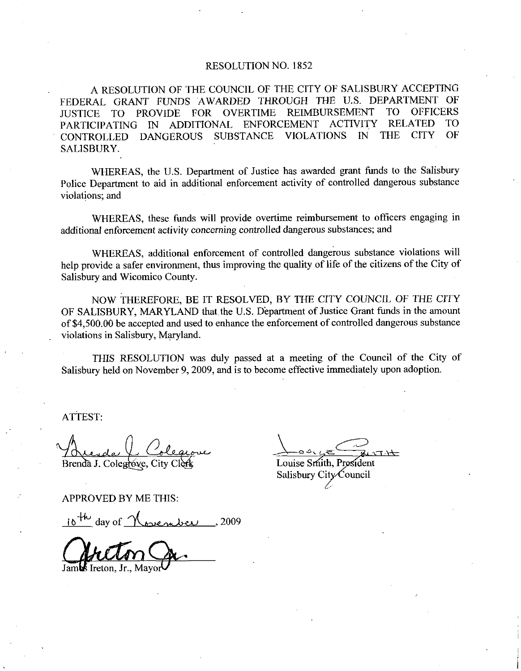## RESOLUTION NO. 1852

A RESOLUTION OF THE COUNCIL OF THE CITY OF SALISBURY ACCEPTING FEDERAL GRANT FUNDS AWARDED THROUGH THE U.S. DEPARTMENT  $OF$ T<sub>O</sub> **OFFICERS** FOR OVERTIME **REIMBURSEMENT JUSTICE PROVIDE TO ACTIVITY RELATED TO** PARTICIPATING IN ADDITIONAL ENFORCEMENT **THE CITY**  $\Omega$ F **SUBSTANCE VIOLATIONS** IN CONTROLLED DANGEROUS SALISBURY.

WHEREAS, the U.S. Department of Justice has awarded grant funds to the Salisbury Police Department to aid in additional enforcement activity of controlled dangerous substance violations; and

WHEREAS, these funds will provide overtime reimbursement to officers engaging in additional enforcement activity concerning controlled dangerous substances; and

WHEREAS, additional enforcement of controlled dangerous substance violations will help provide a safer environment, thus improving the quality of life of the citizens of the City of Salisbury and Wicomico County.

NOW THEREFORE, BE IT RESOLVED, BY THE CITY COUNCIL OF THE CITY OF SALISBURY, MARYLAND that the U.S. Department of Justice Grant funds in the amount of \$4,500,00 be accepted and used to enhance the enforcement of controlled dangerous substance violations in Salisbury, Maryland.

THIS RESOLUTION was duly passed at a meeting of the Council of the City of Salisbury held on November 9, 2009, and is to become effective immediately upon adoption.

ATTEST:

Brenda J. Colegrove, City

Louise Smith, President Salisbury City Council

**APPROVED BY ME THIS:** 

 $10^{+/-}$  day of  $M_{\odot}$  and  $\sim$  2009

Jambs Ireton, Jr., Mavo